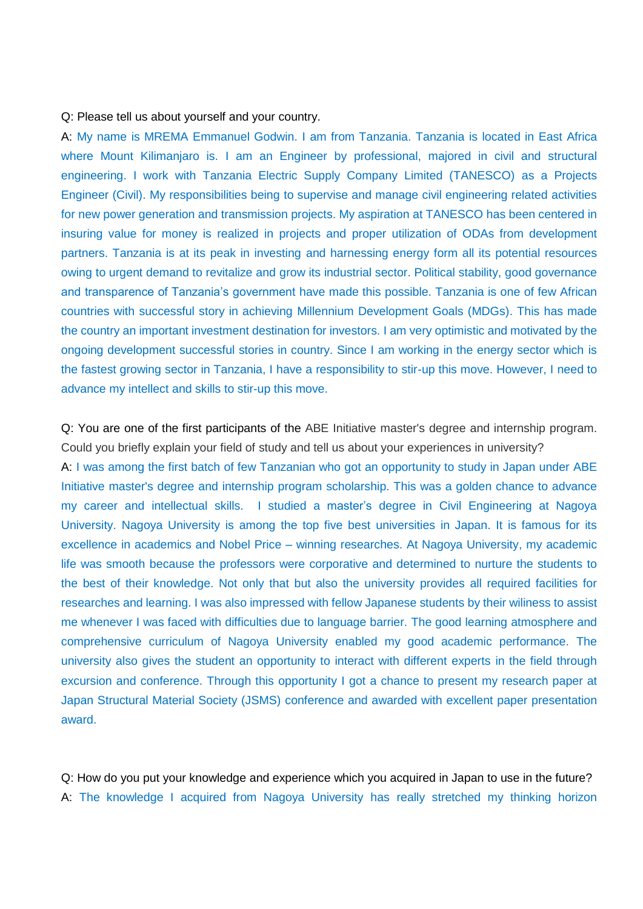## Q: Please tell us about yourself and your country.

A: My name is MREMA Emmanuel Godwin. I am from Tanzania. Tanzania is located in East Africa where Mount Kilimanjaro is. I am an Engineer by professional, majored in civil and structural engineering. I work with Tanzania Electric Supply Company Limited (TANESCO) as a Projects Engineer (Civil). My responsibilities being to supervise and manage civil engineering related activities for new power generation and transmission projects. My aspiration at TANESCO has been centered in insuring value for money is realized in projects and proper utilization of ODAs from development partners. Tanzania is at its peak in investing and harnessing energy form all its potential resources owing to urgent demand to revitalize and grow its industrial sector. Political stability, good governance and transparence of Tanzania's government have made this possible. Tanzania is one of few African countries with successful story in achieving Millennium Development Goals (MDGs). This has made the country an important investment destination for investors. I am very optimistic and motivated by the ongoing development successful stories in country. Since I am working in the energy sector which is the fastest growing sector in Tanzania, I have a responsibility to stir-up this move. However, I need to advance my intellect and skills to stir-up this move.

Q: You are one of the first participants of the ABE Initiative master's degree and internship program. Could you briefly explain your field of study and tell us about your experiences in university? A: I was among the first batch of few Tanzanian who got an opportunity to study in Japan under ABE Initiative master's degree and internship program scholarship. This was a golden chance to advance my career and intellectual skills. I studied a master's degree in Civil Engineering at Nagoya University. Nagoya University is among the top five best universities in Japan. It is famous for its excellence in academics and Nobel Price – winning researches. At Nagoya University, my academic life was smooth because the professors were corporative and determined to nurture the students to the best of their knowledge. Not only that but also the university provides all required facilities for researches and learning. I was also impressed with fellow Japanese students by their wiliness to assist me whenever I was faced with difficulties due to language barrier. The good learning atmosphere and comprehensive curriculum of Nagoya University enabled my good academic performance. The university also gives the student an opportunity to interact with different experts in the field through excursion and conference. Through this opportunity I got a chance to present my research paper at Japan Structural Material Society (JSMS) conference and awarded with excellent paper presentation award.

Q: How do you put your knowledge and experience which you acquired in Japan to use in the future? A: The knowledge I acquired from Nagoya University has really stretched my thinking horizon